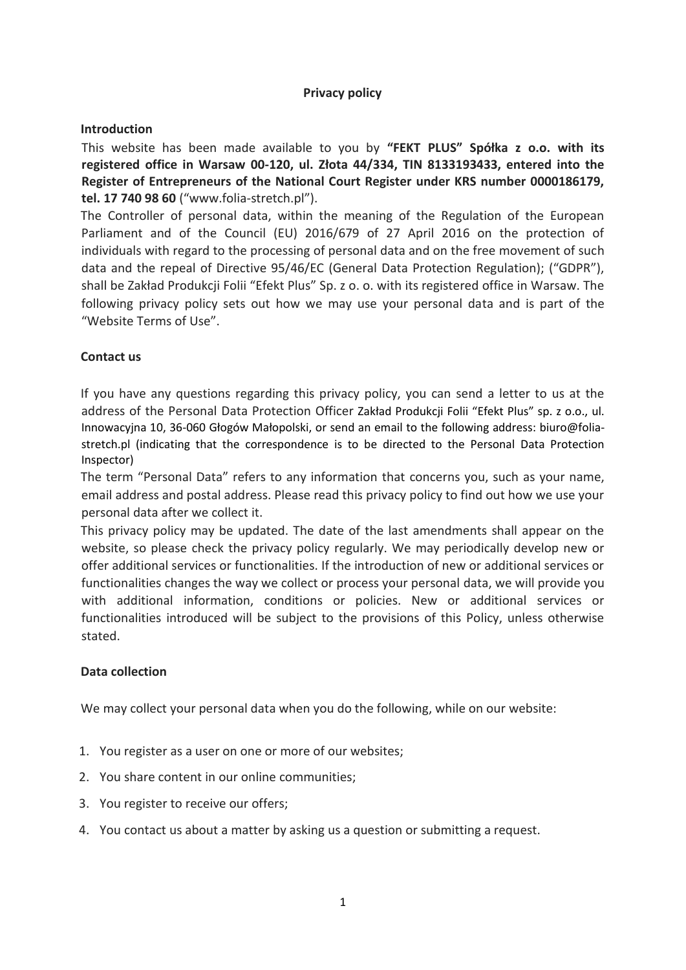# **Privacy policy**

### **Introduction**

This website has been made available to you by **"FEKT PLUS" Spółka z o.o. with its registered office in Warsaw 00-120, ul. Złota 44/334, TIN 8133193433, entered into the Register of Entrepreneurs of the National Court Register under KRS number 0000186179, tel. 17 740 98 60** ("www.folia-stretch.pl").

The Controller of personal data, within the meaning of the Regulation of the European Parliament and of the Council (EU) 2016/679 of 27 April 2016 on the protection of individuals with regard to the processing of personal data and on the free movement of such data and the repeal of Directive 95/46/EC (General Data Protection Regulation); ("GDPR"), shall be Zakład Produkcji Folii "Efekt Plus" Sp. z o. o. with its registered office in Warsaw. The following privacy policy sets out how we may use your personal data and is part of the "Website Terms of Use".

## **Contact us**

If you have any questions regarding this privacy policy, you can send a letter to us at the address of the Personal Data Protection Officer Zakład Produkcji Folii "Efekt Plus" sp. z o.o., ul. Innowacyjna 10, 36-060 Głogów Małopolski, or send an email to the following address: biuro@foliastretch.pl (indicating that the correspondence is to be directed to the Personal Data Protection Inspector)

The term "Personal Data" refers to any information that concerns you, such as your name, email address and postal address. Please read this privacy policy to find out how we use your personal data after we collect it.

This privacy policy may be updated. The date of the last amendments shall appear on the website, so please check the privacy policy regularly. We may periodically develop new or offer additional services or functionalities. If the introduction of new or additional services or functionalities changes the way we collect or process your personal data, we will provide you with additional information, conditions or policies. New or additional services or functionalities introduced will be subject to the provisions of this Policy, unless otherwise stated.

#### **Data collection**

We may collect your personal data when you do the following, while on our website:

- 1. You register as a user on one or more of our websites;
- 2. You share content in our online communities;
- 3. You register to receive our offers;
- 4. You contact us about a matter by asking us a question or submitting a request.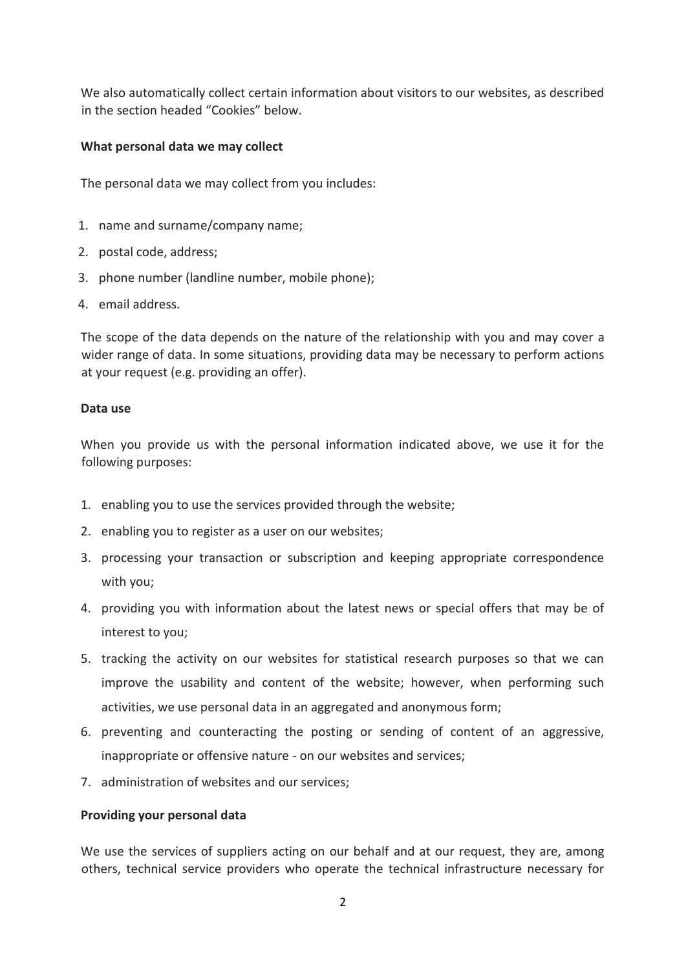We also automatically collect certain information about visitors to our websites, as described in the section headed "Cookies" below.

#### **What personal data we may collect**

The personal data we may collect from you includes:

- 1. name and surname/company name;
- 2. postal code, address;
- 3. phone number (landline number, mobile phone);
- 4. email address.

The scope of the data depends on the nature of the relationship with you and may cover a wider range of data. In some situations, providing data may be necessary to perform actions at your request (e.g. providing an offer).

#### **Data use**

When you provide us with the personal information indicated above, we use it for the following purposes:

- 1. enabling you to use the services provided through the website;
- 2. enabling you to register as a user on our websites;
- 3. processing your transaction or subscription and keeping appropriate correspondence with you;
- 4. providing you with information about the latest news or special offers that may be of interest to you;
- 5. tracking the activity on our websites for statistical research purposes so that we can improve the usability and content of the website; however, when performing such activities, we use personal data in an aggregated and anonymous form;
- 6. preventing and counteracting the posting or sending of content of an aggressive, inappropriate or offensive nature - on our websites and services;
- 7. administration of websites and our services;

#### **Providing your personal data**

We use the services of suppliers acting on our behalf and at our request, they are, among others, technical service providers who operate the technical infrastructure necessary for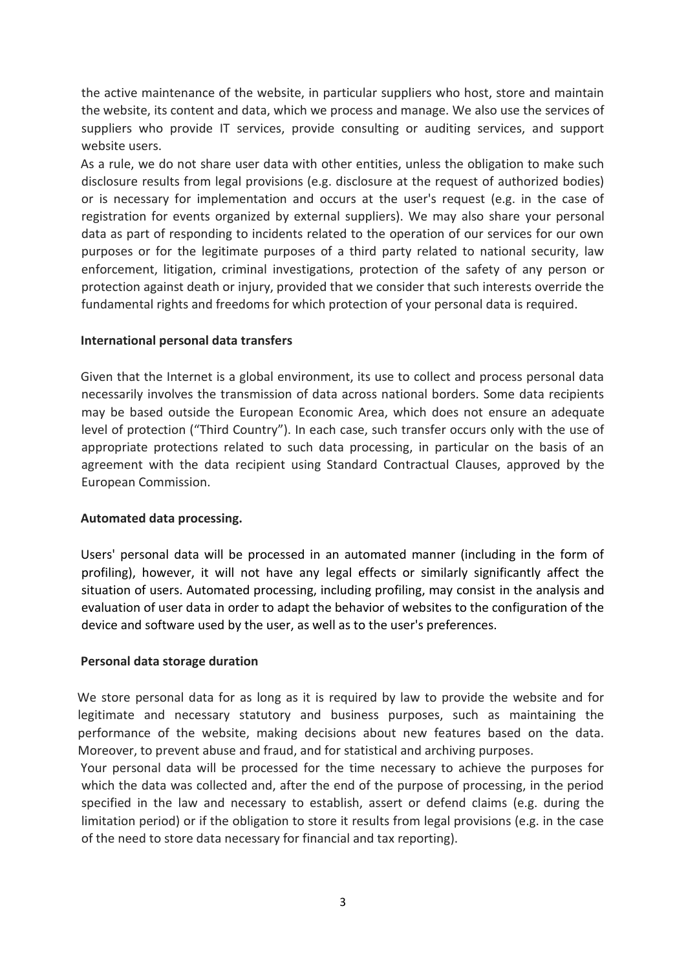the active maintenance of the website, in particular suppliers who host, store and maintain the website, its content and data, which we process and manage. We also use the services of suppliers who provide IT services, provide consulting or auditing services, and support website users.

As a rule, we do not share user data with other entities, unless the obligation to make such disclosure results from legal provisions (e.g. disclosure at the request of authorized bodies) or is necessary for implementation and occurs at the user's request (e.g. in the case of registration for events organized by external suppliers). We may also share your personal data as part of responding to incidents related to the operation of our services for our own purposes or for the legitimate purposes of a third party related to national security, law enforcement, litigation, criminal investigations, protection of the safety of any person or protection against death or injury, provided that we consider that such interests override the fundamental rights and freedoms for which protection of your personal data is required.

#### **International personal data transfers**

Given that the Internet is a global environment, its use to collect and process personal data necessarily involves the transmission of data across national borders. Some data recipients may be based outside the European Economic Area, which does not ensure an adequate level of protection ("Third Country"). In each case, such transfer occurs only with the use of appropriate protections related to such data processing, in particular on the basis of an agreement with the data recipient using Standard Contractual Clauses, approved by the European Commission.

#### **Automated data processing.**

Users' personal data will be processed in an automated manner (including in the form of profiling), however, it will not have any legal effects or similarly significantly affect the situation of users. Automated processing, including profiling, may consist in the analysis and evaluation of user data in order to adapt the behavior of websites to the configuration of the device and software used by the user, as well as to the user's preferences.

#### **Personal data storage duration**

We store personal data for as long as it is required by law to provide the website and for legitimate and necessary statutory and business purposes, such as maintaining the performance of the website, making decisions about new features based on the data. Moreover, to prevent abuse and fraud, and for statistical and archiving purposes.

Your personal data will be processed for the time necessary to achieve the purposes for which the data was collected and, after the end of the purpose of processing, in the period specified in the law and necessary to establish, assert or defend claims (e.g. during the limitation period) or if the obligation to store it results from legal provisions (e.g. in the case of the need to store data necessary for financial and tax reporting).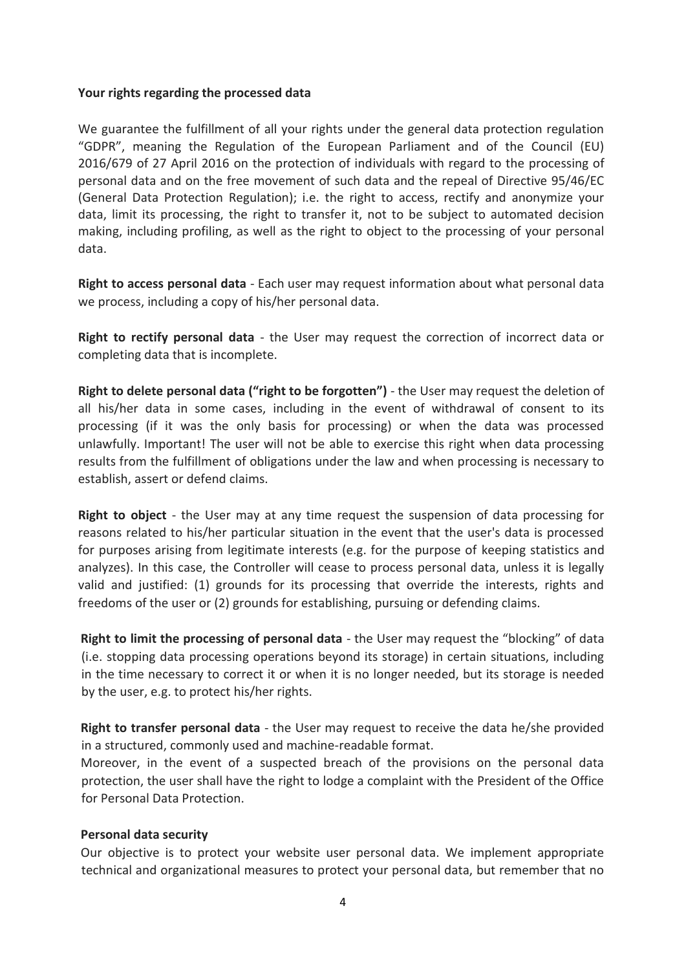#### **Your rights regarding the processed data**

We guarantee the fulfillment of all your rights under the general data protection regulation "GDPR", meaning the Regulation of the European Parliament and of the Council (EU) 2016/679 of 27 April 2016 on the protection of individuals with regard to the processing of personal data and on the free movement of such data and the repeal of Directive 95/46/EC (General Data Protection Regulation); i.e. the right to access, rectify and anonymize your data, limit its processing, the right to transfer it, not to be subject to automated decision making, including profiling, as well as the right to object to the processing of your personal data.

**Right to access personal data** - Each user may request information about what personal data we process, including a copy of his/her personal data.

**Right to rectify personal data** - the User may request the correction of incorrect data or completing data that is incomplete.

**Right to delete personal data ("right to be forgotten")** - the User may request the deletion of all his/her data in some cases, including in the event of withdrawal of consent to its processing (if it was the only basis for processing) or when the data was processed unlawfully. Important! The user will not be able to exercise this right when data processing results from the fulfillment of obligations under the law and when processing is necessary to establish, assert or defend claims.

**Right to object** - the User may at any time request the suspension of data processing for reasons related to his/her particular situation in the event that the user's data is processed for purposes arising from legitimate interests (e.g. for the purpose of keeping statistics and analyzes). In this case, the Controller will cease to process personal data, unless it is legally valid and justified: (1) grounds for its processing that override the interests, rights and freedoms of the user or (2) grounds for establishing, pursuing or defending claims.

**Right to limit the processing of personal data** - the User may request the "blocking" of data (i.e. stopping data processing operations beyond its storage) in certain situations, including in the time necessary to correct it or when it is no longer needed, but its storage is needed by the user, e.g. to protect his/her rights.

**Right to transfer personal data** - the User may request to receive the data he/she provided in a structured, commonly used and machine-readable format.

Moreover, in the event of a suspected breach of the provisions on the personal data protection, the user shall have the right to lodge a complaint with the President of the Office for Personal Data Protection.

#### **Personal data security**

Our objective is to protect your website user personal data. We implement appropriate technical and organizational measures to protect your personal data, but remember that no